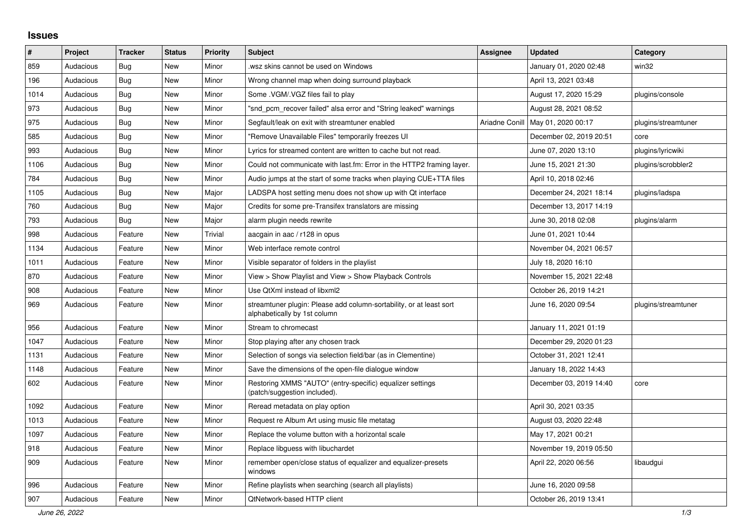## **Issues**

| ∦    | Project   | <b>Tracker</b> | <b>Status</b> | <b>Priority</b> | <b>Subject</b>                                                                                      | <b>Assignee</b> | <b>Updated</b>          | Category            |
|------|-----------|----------------|---------------|-----------------|-----------------------------------------------------------------------------------------------------|-----------------|-------------------------|---------------------|
| 859  | Audacious | Bug            | <b>New</b>    | Minor           | wsz skins cannot be used on Windows.                                                                |                 | January 01, 2020 02:48  | win32               |
| 196  | Audacious | Bug            | <b>New</b>    | Minor           | Wrong channel map when doing surround playback                                                      |                 | April 13, 2021 03:48    |                     |
| 1014 | Audacious | <b>Bug</b>     | <b>New</b>    | Minor           | Some .VGM/.VGZ files fail to play                                                                   |                 | August 17, 2020 15:29   | plugins/console     |
| 973  | Audacious | Bug            | New           | Minor           | "snd_pcm_recover failed" alsa error and "String leaked" warnings                                    |                 | August 28, 2021 08:52   |                     |
| 975  | Audacious | Bug            | <b>New</b>    | Minor           | Segfault/leak on exit with streamtuner enabled                                                      | Ariadne Conill  | May 01, 2020 00:17      | plugins/streamtuner |
| 585  | Audacious | Bug            | <b>New</b>    | Minor           | "Remove Unavailable Files" temporarily freezes UI                                                   |                 | December 02, 2019 20:51 | core                |
| 993  | Audacious | <b>Bug</b>     | <b>New</b>    | Minor           | Lyrics for streamed content are written to cache but not read.                                      |                 | June 07, 2020 13:10     | plugins/lyricwiki   |
| 1106 | Audacious | <b>Bug</b>     | <b>New</b>    | Minor           | Could not communicate with last.fm: Error in the HTTP2 framing layer.                               |                 | June 15, 2021 21:30     | plugins/scrobbler2  |
| 784  | Audacious | <b>Bug</b>     | <b>New</b>    | Minor           | Audio jumps at the start of some tracks when playing CUE+TTA files                                  |                 | April 10, 2018 02:46    |                     |
| 1105 | Audacious | <b>Bug</b>     | <b>New</b>    | Major           | LADSPA host setting menu does not show up with Qt interface                                         |                 | December 24, 2021 18:14 | plugins/ladspa      |
| 760  | Audacious | Bug            | <b>New</b>    | Major           | Credits for some pre-Transifex translators are missing                                              |                 | December 13, 2017 14:19 |                     |
| 793  | Audacious | Bug            | <b>New</b>    | Major           | alarm plugin needs rewrite                                                                          |                 | June 30, 2018 02:08     | plugins/alarm       |
| 998  | Audacious | Feature        | <b>New</b>    | Trivial         | aacgain in aac / r128 in opus                                                                       |                 | June 01, 2021 10:44     |                     |
| 1134 | Audacious | Feature        | <b>New</b>    | Minor           | Web interface remote control                                                                        |                 | November 04, 2021 06:57 |                     |
| 1011 | Audacious | Feature        | <b>New</b>    | Minor           | Visible separator of folders in the playlist                                                        |                 | July 18, 2020 16:10     |                     |
| 870  | Audacious | Feature        | <b>New</b>    | Minor           | View > Show Playlist and View > Show Playback Controls                                              |                 | November 15, 2021 22:48 |                     |
| 908  | Audacious | Feature        | <b>New</b>    | Minor           | Use QtXml instead of libxml2                                                                        |                 | October 26, 2019 14:21  |                     |
| 969  | Audacious | Feature        | <b>New</b>    | Minor           | streamtuner plugin: Please add column-sortability, or at least sort<br>alphabetically by 1st column |                 | June 16, 2020 09:54     | plugins/streamtuner |
| 956  | Audacious | Feature        | <b>New</b>    | Minor           | Stream to chromecast                                                                                |                 | January 11, 2021 01:19  |                     |
| 1047 | Audacious | Feature        | <b>New</b>    | Minor           | Stop playing after any chosen track                                                                 |                 | December 29, 2020 01:23 |                     |
| 1131 | Audacious | Feature        | <b>New</b>    | Minor           | Selection of songs via selection field/bar (as in Clementine)                                       |                 | October 31, 2021 12:41  |                     |
| 1148 | Audacious | Feature        | <b>New</b>    | Minor           | Save the dimensions of the open-file dialogue window                                                |                 | January 18, 2022 14:43  |                     |
| 602  | Audacious | Feature        | <b>New</b>    | Minor           | Restoring XMMS "AUTO" (entry-specific) equalizer settings<br>(patch/suggestion included).           |                 | December 03, 2019 14:40 | core                |
| 1092 | Audacious | Feature        | New           | Minor           | Reread metadata on play option                                                                      |                 | April 30, 2021 03:35    |                     |
| 1013 | Audacious | Feature        | <b>New</b>    | Minor           | Request re Album Art using music file metatag                                                       |                 | August 03, 2020 22:48   |                     |
| 1097 | Audacious | Feature        | New           | Minor           | Replace the volume button with a horizontal scale                                                   |                 | May 17, 2021 00:21      |                     |
| 918  | Audacious | Feature        | <b>New</b>    | Minor           | Replace libguess with libuchardet                                                                   |                 | November 19, 2019 05:50 |                     |
| 909  | Audacious | Feature        | <b>New</b>    | Minor           | remember open/close status of equalizer and equalizer-presets<br>windows                            |                 | April 22, 2020 06:56    | libaudgui           |
| 996  | Audacious | Feature        | <b>New</b>    | Minor           | Refine playlists when searching (search all playlists)                                              |                 | June 16, 2020 09:58     |                     |
| 907  | Audacious | Feature        | <b>New</b>    | Minor           | <b>QtNetwork-based HTTP client</b>                                                                  |                 | October 26, 2019 13:41  |                     |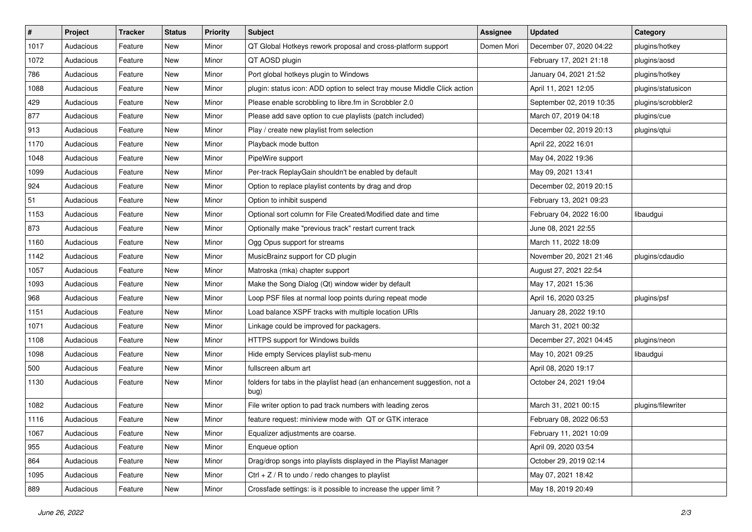| $\#$ | Project   | <b>Tracker</b> | <b>Status</b> | <b>Priority</b> | <b>Subject</b>                                                                  | <b>Assignee</b> | <b>Updated</b>           | Category           |
|------|-----------|----------------|---------------|-----------------|---------------------------------------------------------------------------------|-----------------|--------------------------|--------------------|
| 1017 | Audacious | Feature        | New           | Minor           | QT Global Hotkeys rework proposal and cross-platform support                    | Domen Mori      | December 07, 2020 04:22  | plugins/hotkey     |
| 1072 | Audacious | Feature        | <b>New</b>    | Minor           | QT AOSD plugin                                                                  |                 | February 17, 2021 21:18  | plugins/aosd       |
| 786  | Audacious | Feature        | New           | Minor           | Port global hotkeys plugin to Windows                                           |                 | January 04, 2021 21:52   | plugins/hotkey     |
| 1088 | Audacious | Feature        | New           | Minor           | plugin: status icon: ADD option to select tray mouse Middle Click action        |                 | April 11, 2021 12:05     | plugins/statusicon |
| 429  | Audacious | Feature        | New           | Minor           | Please enable scrobbling to libre.fm in Scrobbler 2.0                           |                 | September 02, 2019 10:35 | plugins/scrobbler2 |
| 877  | Audacious | Feature        | New           | Minor           | Please add save option to cue playlists (patch included)                        |                 | March 07, 2019 04:18     | plugins/cue        |
| 913  | Audacious | Feature        | New           | Minor           | Play / create new playlist from selection                                       |                 | December 02, 2019 20:13  | plugins/qtui       |
| 1170 | Audacious | Feature        | New           | Minor           | Playback mode button                                                            |                 | April 22, 2022 16:01     |                    |
| 1048 | Audacious | Feature        | New           | Minor           | PipeWire support                                                                |                 | May 04, 2022 19:36       |                    |
| 1099 | Audacious | Feature        | <b>New</b>    | Minor           | Per-track ReplayGain shouldn't be enabled by default                            |                 | May 09, 2021 13:41       |                    |
| 924  | Audacious | Feature        | New           | Minor           | Option to replace playlist contents by drag and drop                            |                 | December 02, 2019 20:15  |                    |
| 51   | Audacious | Feature        | New           | Minor           | Option to inhibit suspend                                                       |                 | February 13, 2021 09:23  |                    |
| 1153 | Audacious | Feature        | New           | Minor           | Optional sort column for File Created/Modified date and time                    |                 | February 04, 2022 16:00  | libaudgui          |
| 873  | Audacious | Feature        | New           | Minor           | Optionally make "previous track" restart current track                          |                 | June 08, 2021 22:55      |                    |
| 1160 | Audacious | Feature        | <b>New</b>    | Minor           | Ogg Opus support for streams                                                    |                 | March 11, 2022 18:09     |                    |
| 1142 | Audacious | Feature        | New           | Minor           | MusicBrainz support for CD plugin                                               |                 | November 20, 2021 21:46  | plugins/cdaudio    |
| 1057 | Audacious | Feature        | New           | Minor           | Matroska (mka) chapter support                                                  |                 | August 27, 2021 22:54    |                    |
| 1093 | Audacious | Feature        | New           | Minor           | Make the Song Dialog (Qt) window wider by default                               |                 | May 17, 2021 15:36       |                    |
| 968  | Audacious | Feature        | New           | Minor           | Loop PSF files at normal loop points during repeat mode                         |                 | April 16, 2020 03:25     | plugins/psf        |
| 1151 | Audacious | Feature        | New           | Minor           | Load balance XSPF tracks with multiple location URIs                            |                 | January 28, 2022 19:10   |                    |
| 1071 | Audacious | Feature        | New           | Minor           | Linkage could be improved for packagers.                                        |                 | March 31, 2021 00:32     |                    |
| 1108 | Audacious | Feature        | New           | Minor           | HTTPS support for Windows builds                                                |                 | December 27, 2021 04:45  | plugins/neon       |
| 1098 | Audacious | Feature        | <b>New</b>    | Minor           | Hide empty Services playlist sub-menu                                           |                 | May 10, 2021 09:25       | libaudgui          |
| 500  | Audacious | Feature        | New           | Minor           | fullscreen album art                                                            |                 | April 08, 2020 19:17     |                    |
| 1130 | Audacious | Feature        | New           | Minor           | folders for tabs in the playlist head (an enhancement suggestion, not a<br>bug) |                 | October 24, 2021 19:04   |                    |
| 1082 | Audacious | Feature        | New           | Minor           | File writer option to pad track numbers with leading zeros                      |                 | March 31, 2021 00:15     | plugins/filewriter |
| 1116 | Audacious | Feature        | New           | Minor           | feature request: miniview mode with QT or GTK interace                          |                 | February 08, 2022 06:53  |                    |
| 1067 | Audacious | Feature        | New           | Minor           | Equalizer adjustments are coarse.                                               |                 | February 11, 2021 10:09  |                    |
| 955  | Audacious | Feature        | New           | Minor           | Enqueue option                                                                  |                 | April 09, 2020 03:54     |                    |
| 864  | Audacious | Feature        | New           | Minor           | Drag/drop songs into playlists displayed in the Playlist Manager                |                 | October 29, 2019 02:14   |                    |
| 1095 | Audacious | Feature        | New           | Minor           | Ctrl + $Z$ / R to undo / redo changes to playlist                               |                 | May 07, 2021 18:42       |                    |
| 889  | Audacious | Feature        | New           | Minor           | Crossfade settings: is it possible to increase the upper limit?                 |                 | May 18, 2019 20:49       |                    |